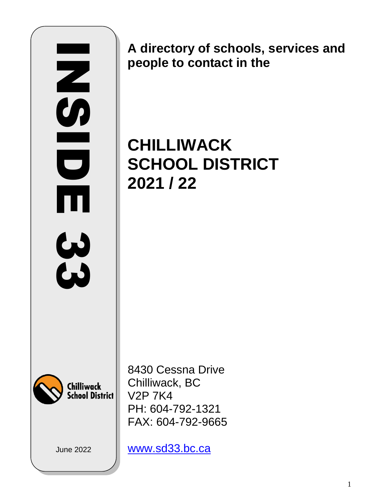# **NSIDER** 三つ  $\overline{\phantom{0}}$ Ш  $33$

**A directory of schools, services and people to contact in the**

# **CHILLIWACK SCHOOL DISTRICT 2021 / 22**



8430 Cessna Drive Chilliwack, BC V2P 7K4 PH: 604-792-1321 FAX: 604-792-9665

June 2022

[www.sd33.bc.ca](http://www.sd33.bc.ca/)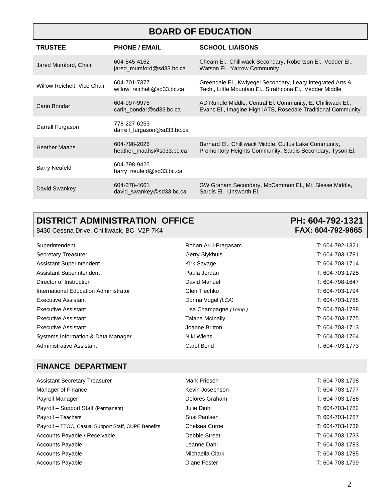## **BOARD OF EDUCATION**

| <b>TRUSTEE</b>              | <b>PHONE / EMAIL</b>                        | <b>SCHOOL LIAISONS</b>                                                                                                      |
|-----------------------------|---------------------------------------------|-----------------------------------------------------------------------------------------------------------------------------|
| Jared Mumford, Chair        | 604-845-4162<br>jared_mumford@sd33.bc.ca    | Cheam El., Chilliwack Secondary, Robertson El., Vedder El.,<br><b>Watson El., Yarrow Community</b>                          |
| Willow Reichelt, Vice Chair | 604-701-7377<br>willow reichelt@sd33.bc.ca  | Greendale El., Kwiyegel Secondary, Leary Integrated Arts &<br>Tech., Little Mountain El., Strathcona El., Vedder Middle     |
| Carin Bondar                | 604-997-9978<br>carin bondar@sd33.bc.ca     | AD Rundle Middle, Central El. Community, E. Chilliwack El.,<br>Evans El., Imagine High IATS, Rosedale Traditional Community |
| Darrell Furgason            | 778-227-6253<br>darrell_furgason@sd33.bc.ca |                                                                                                                             |
| <b>Heather Maahs</b>        | 604-798-2026<br>heather maahs@sd33.bc.ca    | Bernard El., Chilliwack Middle, Cultus Lake Community,<br>Promontory Heights Community, Sardis Secondary, Tyson El.         |
| <b>Barry Neufeld</b>        | 604-798-9425<br>barry_neufeld@sd33.bc.ca    |                                                                                                                             |
| David Swankey               | 604-378-4661<br>david_swankey@sd33.bc.ca    | GW Graham Secondary, McCammon El., Mt. Slesse Middle,<br>Sardis El., Unsworth El.                                           |

## **DISTRICT ADMINISTRATION OFFICE PH: 604-792-1321**

8430 Cessna Drive, Chilliwack, BC V2P 7K4 **FAX: 604-792-9665** 

| Superintendent                        | Rohan Arul-Pragasam    | T: 604-792-1321 |
|---------------------------------------|------------------------|-----------------|
| Secretary Treasurer                   | Gerry Slykhuis         | T: 604-703-1781 |
| Assistant Superintendent              | <b>Kirk Savage</b>     | T: 604-703-1714 |
| Assistant Superintendent              | Paula Jordan           | T: 604-703-1725 |
| Director of Instruction               | David Manuel           | T: 604-798-1647 |
| International Education Administrator | Glen Tiechko           | T: 604-703-1794 |
| <b>Executive Assistant</b>            | Donna Vogel (LOA)      | T: 604-703-1788 |
| Executive Assistant                   | Lisa Champagne (Temp.) | T: 604-703-1788 |
| <b>Executive Assistant</b>            | <b>Talana McInally</b> | T: 604-703-1775 |
| <b>Executive Assistant</b>            | Joanne Britton         | T: 604-703-1713 |
| Systems Information & Data Manager    | Niki Wiens             | T: 604-703-1764 |
| Administrative Assistant              | Carol Bond             | T: 604-703-1773 |
|                                       |                        |                 |

#### **FINANCE DEPARTMENT**

| <b>Assistant Secretary Treasurer</b>                | Mark Friesen    | T: 604-703-1798 |
|-----------------------------------------------------|-----------------|-----------------|
| Manager of Finance                                  | Kevin Josephson | T: 604-703-1777 |
| Payroll Manager                                     | Dolores Graham  | T: 604-703-1786 |
| Payroll - Support Staff (Permanent)                 | Julie Dinh      | T: 604-703-1782 |
| Payroll - Teachers                                  | Susi Paulsen    | T: 604-703-1787 |
| Payroll - TTOC, Casual Support Staff, CUPE Benefits | Chelsea Currie  | T: 604-703-1736 |
| Accounts Payable / Receivable                       | Debbie Street   | T: 604-703-1733 |
| <b>Accounts Payable</b>                             | Leanne Dahl     | T: 604-703-1783 |
| <b>Accounts Payable</b>                             | Michaella Clark | T: 604-703-1785 |
| <b>Accounts Payable</b>                             | Diane Foster    | T: 604-703-1799 |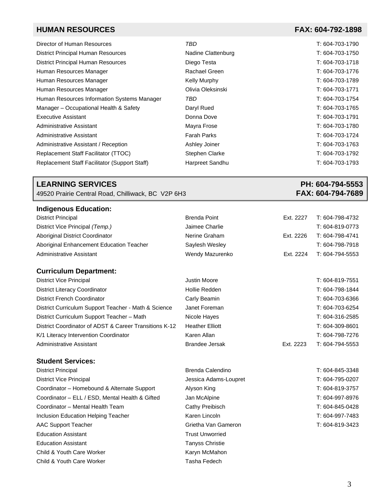#### **HUMAN RESOURCES FAX: 604-792-1898**

| Director of Human Resources                          | TBD                   | T: 604-703-1790 |
|------------------------------------------------------|-----------------------|-----------------|
| <b>District Principal Human Resources</b>            | Nadine Clattenburg    | T: 604-703-1750 |
| <b>District Principal Human Resources</b>            | Diego Testa           | T: 604-703-1718 |
| Human Resources Manager                              | Rachael Green         | T: 604-703-1776 |
| Human Resources Manager                              | Kelly Murphy          | T: 604-703-1789 |
| Human Resources Manager                              | Olivia Oleksinski     | T: 604-703-1771 |
| Human Resources Information Systems Manager          | TBD                   | T: 604-703-1754 |
| Manager - Occupational Health & Safety               | Daryl Rued            | T: 604-703-1765 |
| <b>Executive Assistant</b>                           | Donna Dove            | T: 604-703-1791 |
| Administrative Assistant                             | Mayra Frose           | T: 604-703-1780 |
| Administrative Assistant                             | <b>Farah Parks</b>    | T: 604-703-1724 |
| Administrative Assistant / Reception                 | Ashley Joiner         | T: 604-703-1763 |
| Replacement Staff Facilitator (TTOC)                 | <b>Stephen Clarke</b> | T: 604-703-1792 |
| <b>Replacement Staff Facilitator (Support Staff)</b> | Harpreet Sandhu       | T: 604-703-1793 |

49520 Prairie Central Road, Chilliwack, BC V2P 6H3

#### **Indigenous Education:**

| <b>District Principal</b>                              | <b>Brenda Point</b>    | Ext. 2227 | T: 604-798-4732 |
|--------------------------------------------------------|------------------------|-----------|-----------------|
| District Vice Principal (Temp.)                        | Jaimee Charlie         |           | T: 604-819-0773 |
| Aboriginal District Coordinator                        | Nerine Graham          | Ext. 2226 | T: 604-798-4741 |
| Aboriginal Enhancement Education Teacher               | Saylesh Wesley         |           | T: 604-798-7918 |
| Administrative Assistant                               | Wendy Mazurenko        | Ext. 2224 | T: 604-794-5553 |
| <b>Curriculum Department:</b>                          |                        |           |                 |
| District Vice Principal                                | Justin Moore           |           | T: 604-819-7551 |
| <b>District Literacy Coordinator</b>                   | Hollie Redden          |           | T: 604-798-1844 |
| <b>District French Coordinator</b>                     | Carly Beamin           |           | T: 604-703-6366 |
| District Curriculum Support Teacher - Math & Science   | Janet Foreman          |           | T: 604-703-6254 |
| District Curriculum Support Teacher - Math             | Nicole Hayes           |           | T: 604-316-2585 |
| District Coordinator of ADST & Career Transitions K-12 | <b>Heather Elliott</b> |           | T: 604-309-8601 |
| K/1 Literacy Intervention Coordinator                  | Karen Allan            |           | T: 604-798-7276 |
| Administrative Assistant                               | <b>Brandee Jersak</b>  | Ext. 2223 | T: 604-794-5553 |

#### **Student Services:**

| <b>District Principal</b>                       | Brenda Calendino       | T: 604-845-3348 |
|-------------------------------------------------|------------------------|-----------------|
| <b>District Vice Principal</b>                  | Jessica Adams-Loupret  | T: 604-795-0207 |
| Coordinator - Homebound & Alternate Support     | Alyson King            | T: 604-819-3757 |
| Coordinator - ELL / ESD, Mental Health & Gifted | Jan McAlpine           | T: 604-997-8976 |
| Coordinator - Mental Health Team                | Cathy Preibisch        | T: 604-845-0428 |
| Inclusion Education Helping Teacher             | Karen Lincoln          | T: 604-997-7483 |
| AAC Support Teacher                             | Grietha Van Gameron    | T: 604-819-3423 |
| <b>Education Assistant</b>                      | <b>Trust Unworried</b> |                 |
| <b>Education Assistant</b>                      | <b>Tanyss Christie</b> |                 |
| Child & Youth Care Worker                       | Karyn McMahon          |                 |
| Child & Youth Care Worker                       | Tasha Fedech           |                 |

## **LEARNING SERVICES** PH: 604-794-5553 PH: 604-794-5553 PH: 604-794-5553 PH: 604-794-5553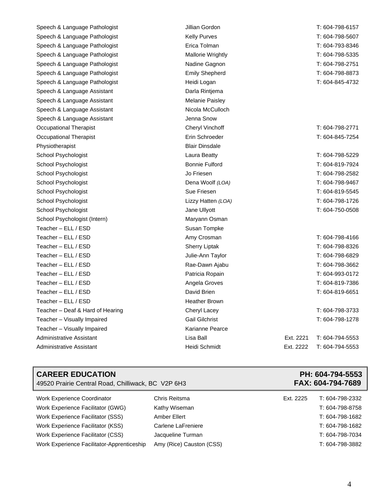| Speech & Language Pathologist    | Jillian Gordon           |           | T: 604-798-6157 |
|----------------------------------|--------------------------|-----------|-----------------|
| Speech & Language Pathologist    | <b>Kelly Purves</b>      |           | T: 604-798-5607 |
| Speech & Language Pathologist    | Erica Tolman             |           | T: 604-793-8346 |
| Speech & Language Pathologist    | <b>Mallorie Wrightly</b> |           | T: 604-798-5335 |
| Speech & Language Pathologist    | Nadine Gagnon            |           | T: 604-798-2751 |
| Speech & Language Pathologist    | <b>Emily Shepherd</b>    |           | T: 604-798-8873 |
| Speech & Language Pathologist    | Heidi Logan              |           | T: 604-845-4732 |
| Speech & Language Assistant      | Darla Rintjema           |           |                 |
| Speech & Language Assistant      | <b>Melanie Paisley</b>   |           |                 |
| Speech & Language Assistant      | Nicola McCulloch         |           |                 |
| Speech & Language Assistant      | Jenna Snow               |           |                 |
| <b>Occupational Therapist</b>    | <b>Cheryl Vinchoff</b>   |           | T: 604-798-2771 |
| Occupational Therapist           | Erin Schroeder           |           | T: 604-845-7254 |
| Physiotherapist                  | <b>Blair Dinsdale</b>    |           |                 |
| School Psychologist              | Laura Beatty             |           | T: 604-798-5229 |
| School Psychologist              | <b>Bonnie Fulford</b>    |           | T: 604-819-7924 |
| School Psychologist              | Jo Friesen               |           | T: 604-798-2582 |
| School Psychologist              | Dena Woolf (LOA)         |           | T: 604-798-9467 |
| School Psychologist              | Sue Friesen              |           | T: 604-819-5545 |
| School Psychologist              | Lizzy Hatten (LOA)       |           | T: 604-798-1726 |
| School Psychologist              | Jane Ullyott             |           | T: 604-750-0508 |
| School Psychologist (Intern)     | Maryann Osman            |           |                 |
| Teacher - ELL / ESD              | Susan Tompke             |           |                 |
| Teacher - ELL / ESD              | Amy Crosman              |           | T: 604-798-4166 |
| Teacher - ELL / ESD              | <b>Sherry Liptak</b>     |           | T: 604-798-8326 |
| Teacher - ELL / ESD              | Julie-Ann Taylor         |           | T: 604-798-6829 |
| Teacher – ELL / ESD              | Rae-Dawn Ajabu           |           | T: 604-798-3662 |
| Teacher – ELL / ESD              | Patricia Ropain          |           | T: 604-993-0172 |
| Teacher - ELL / ESD              | Angela Groves            |           | T: 604-819-7386 |
| Teacher – ELL / ESD              | David Brien              |           | T: 604-819-6651 |
| Teacher – ELL / ESD              | <b>Heather Brown</b>     |           |                 |
| Teacher - Deaf & Hard of Hearing | Cheryl Lacey             |           | T: 604-798-3733 |
| Teacher - Visually Impaired      | <b>Gail Gilchrist</b>    |           | T: 604-798-1278 |
| Teacher - Visually Impaired      | Karianne Pearce          |           |                 |
| Administrative Assistant         | Lisa Ball                | Ext. 2221 | T: 604-794-5553 |
| Administrative Assistant         | Heidi Schmidt            | Ext. 2222 | T: 604-794-5553 |

| <b>CAREER EDUCATION</b><br>49520 Prairie Central Road, Chilliwack, BC V2P 6H3 |                          |           | PH: 604-794-5553<br>FAX: 604-794-7689 |
|-------------------------------------------------------------------------------|--------------------------|-----------|---------------------------------------|
| <b>Work Experience Coordinator</b>                                            | Chris Reitsma            | Ext. 2225 | T: 604-798-2332                       |
| Work Experience Facilitator (GWG)                                             | Kathy Wiseman            |           | T: 604-798-8758                       |
| Work Experience Facilitator (SSS)                                             | Amber Ellert             |           | T: 604-798-1682                       |
| Work Experience Facilitator (KSS)                                             | Carlene LaFreniere       |           | T: 604-798-1682                       |
| Work Experience Facilitator (CSS)                                             | Jacqueline Turman        |           | T: 604-798-7034                       |
| Work Experience Facilitator-Apprenticeship                                    | Amy (Rice) Causton (CSS) |           | T: 604-798-3882                       |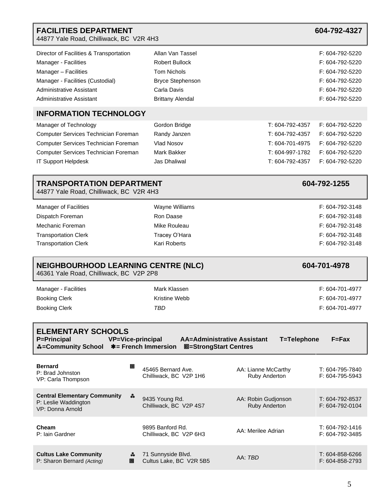| <b>FACILITIES DEPARTMENT</b><br>44877 Yale Road, Chilliwack, BC V2R 4H3                                                                                                             |                                                                                                                                      |                                                                                             | 604-792-4327                                                                                                   |
|-------------------------------------------------------------------------------------------------------------------------------------------------------------------------------------|--------------------------------------------------------------------------------------------------------------------------------------|---------------------------------------------------------------------------------------------|----------------------------------------------------------------------------------------------------------------|
| Director of Facilities & Transportation<br>Manager - Facilities<br>Manager - Facilities<br>Manager - Facilities (Custodial)<br>Administrative Assistant<br>Administrative Assistant | Allan Van Tassel<br><b>Robert Bullock</b><br><b>Tom Nichols</b><br><b>Bryce Stephenson</b><br>Carla Davis<br><b>Brittany Alendal</b> |                                                                                             | F: 604-792-5220<br>F: 604-792-5220<br>F: 604-792-5220<br>F: 604-792-5220<br>F: 604-792-5220<br>F: 604-792-5220 |
| <b>INFORMATION TECHNOLOGY</b>                                                                                                                                                       |                                                                                                                                      |                                                                                             |                                                                                                                |
| Manager of Technology<br>Computer Services Technician Foreman<br>Computer Services Technician Foreman<br>Computer Services Technician Foreman<br>IT Support Helpdesk                | Gordon Bridge<br>Randy Janzen<br>Vlad Nosov<br><b>Mark Bakker</b><br>Jas Dhaliwal                                                    | T: 604-792-4357<br>T: 604-792-4357<br>T: 604-701-4975<br>T: 604-997-1782<br>T: 604-792-4357 | F: 604-792-5220<br>F: 604-792-5220<br>F: 604-792-5220<br>F: 604-792-5220<br>F: 604-792-5220                    |
| <b>TRANSPORTATION DEPARTMENT</b><br>44877 Yale Road, Chilliwack, BC V2R 4H3                                                                                                         |                                                                                                                                      |                                                                                             | 604-792-1255                                                                                                   |
| <b>Manager of Facilities</b><br>Dispatch Foreman<br>Mechanic Foreman<br><b>Transportation Clerk</b><br><b>Transportation Clerk</b>                                                  | Wayne Williams<br>Ron Daase<br>Mike Rouleau<br>Tracey O'Hara<br><b>Kari Roberts</b>                                                  |                                                                                             | F: 604-792-3148<br>F: 604-792-3148<br>F: 604-792-3148<br>F: 604-792-3148<br>F: 604-792-3148                    |
| <b>NEIGHBOURHOOD LEARNING CENTRE (NLC)</b><br>46361 Yale Road, Chilliwack, BC V2P 2P8                                                                                               |                                                                                                                                      |                                                                                             | 604-701-4978                                                                                                   |
| Manager - Facilities<br><b>Booking Clerk</b><br><b>Booking Clerk</b>                                                                                                                | Mark Klassen<br>Kristine Webb<br>TBD                                                                                                 |                                                                                             | F: 604-701-4977<br>F: 604-701-4977<br>F: 604-701-4977                                                          |
| <b>ELEMENTARY SCHOOLS</b><br><b>P=Principal</b><br><b>A</b> =Community School *= French Immersion                                                                                   | <b>VP=Vice-principal</b><br><b>AA=Administrative Assistant</b><br><b>M=StrongStart Centres</b>                                       | T=Telephone                                                                                 | $F = Fax$                                                                                                      |
| <b>Bernard</b><br>P: Brad Johnston<br>VP: Carla Thompson                                                                                                                            | 回<br>45465 Bernard Ave.<br>Chilliwack, BC V2P 1H6                                                                                    | AA: Lianne McCarthy<br>Ruby Anderton                                                        | T: 604-795-7840<br>F: 604-795-5943                                                                             |
| <b>Central Elementary Community</b><br>P: Leslie Waddington<br>VP: Donna Arnold                                                                                                     | 森<br>9435 Young Rd.<br>Chilliwack, BC V2P 4S7                                                                                        | AA: Robin Gudjonson<br>Ruby Anderton                                                        | T: 604-792-8537<br>F: 604-792-0104                                                                             |
| Cheam<br>P: Iain Gardner                                                                                                                                                            | 9895 Banford Rd.<br>Chilliwack, BC V2P 6H3                                                                                           | AA: Merilee Adrian                                                                          | T: 604-792-1416<br>F: 604-792-3485                                                                             |
| <b>Cultus Lake Community</b><br>P: Sharon Bernard (Acting)                                                                                                                          | 71 Sunnyside Blvd.<br>∗<br>Cultus Lake, BC V2R 5B5<br>o                                                                              | AA: TBD                                                                                     | T: 604-858-6266<br>F: 604-858-2793                                                                             |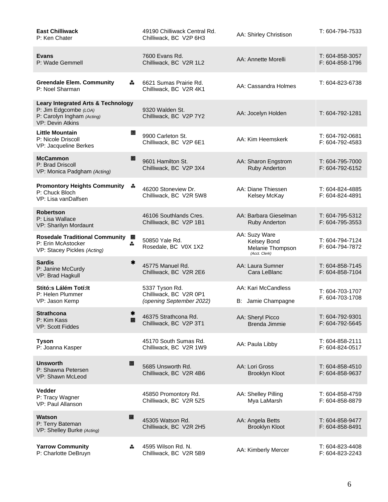| <b>East Chilliwack</b><br>P: Ken Chater                                                                                  |        | 49190 Chilliwack Central Rd.<br>Chilliwack, BC V2P 6H3               | AA: Shirley Christison                                            | T: 604-794-7533                    |
|--------------------------------------------------------------------------------------------------------------------------|--------|----------------------------------------------------------------------|-------------------------------------------------------------------|------------------------------------|
| <b>Evans</b><br>P: Wade Gemmell                                                                                          |        | 7600 Evans Rd.<br>Chilliwack, BC V2R 1L2                             | AA: Annette Morelli                                               | T: 604-858-3057<br>F: 604-858-1796 |
| <b>Greendale Elem. Community</b><br>P: Noel Sharman                                                                      | ≛.     | 6621 Sumas Prairie Rd.<br>Chilliwack, BC V2R 4K1                     | AA: Cassandra Holmes                                              | T: 604-823-6738                    |
| <b>Leary Integrated Arts &amp; Technology</b><br>P: Jim Edgcombe (LOA)<br>P: Carolyn Ingham (Acting)<br>VP: Devin Atkins |        | 9320 Walden St.<br>Chilliwack, BC V2P 7Y2                            | AA: Jocelyn Holden                                                | T: 604-792-1281                    |
| <b>Little Mountain</b><br>P: Nicole Driscoll<br>VP: Jacqueline Berkes                                                    | o      | 9900 Carleton St.<br>Chilliwack, BC V2P 6E1                          | AA: Kim Heemskerk                                                 | T: 604-792-0681<br>F: 604-792-4583 |
| <b>McCammon</b><br>P: Brad Driscoll<br>VP: Monica Padgham (Acting)                                                       | ▣      | 9601 Hamilton St.<br>Chilliwack, BC V2P 3X4                          | AA: Sharon Engstrom<br>Ruby Anderton                              | T: 604-795-7000<br>F: 604-792-6152 |
| <b>Promontory Heights Community</b><br>P: Chuck Bloch<br>VP: Lisa vanDalfsen                                             | 森      | 46200 Stoneview Dr.<br>Chilliwack, BC V2R 5W8                        | AA: Diane Thiessen<br>Kelsey McKay                                | T: 604-824-4885<br>F: 604-824-4891 |
| <b>Robertson</b><br>P: Lisa Wallace<br>VP: Sharilyn Mordaunt                                                             |        | 46106 Southlands Cres.<br>Chilliwack, BC V2P 1B1                     | AA: Barbara Gieselman<br><b>Ruby Anderton</b>                     | T: 604-795-5312<br>F: 604-795-3553 |
| <b>Rosedale Traditional Community</b><br>P: Erin McAstocker<br>VP: Stacey Pickles (Acting)                               | ▣<br>森 | 50850 Yale Rd.<br>Rosedale, BC V0X 1X2                               | AA: Suzy Ware<br>Kelsey Bond<br>Melanie Thompson<br>(Acct. Clerk) | T: 604-794-7124<br>F: 604-794-7872 |
| <b>Sardis</b><br>P: Janine McCurdy<br>VP: Brad Hagkull                                                                   | *      | 45775 Manuel Rd.<br>Chilliwack, BC V2R 2E6                           | AA: Laura Sumner<br>Cara LeBlanc                                  | T: 604-858-7145<br>F: 604-858-7104 |
| Stitó:s Lálém Totí:lt<br>P: Helen Plummer<br>VP: Jason Kemp                                                              |        | 5337 Tyson Rd.<br>Chilliwack, BC V2R 0P1<br>(opening September 2022) | AA: Kari McCandless<br>B: Jamie Champagne                         | T: 604-703-1707<br>F. 604-703-1708 |
| <b>Strathcona</b><br>P: Kim Kass<br>VP: Scott Fiddes                                                                     | ₩<br>o | 46375 Strathcona Rd.<br>Chilliwack, BC V2P 3T1                       | AA: Sheryl Picco<br>Brenda Jimmie                                 | T: 604-792-9301<br>F: 604-792-5645 |
| <b>Tyson</b><br>P: Joanna Kasper                                                                                         |        | 45170 South Sumas Rd.<br>Chilliwack, BC V2R 1W9                      | AA: Paula Libby                                                   | T: 604-858-2111<br>F: 604-824-0517 |
| <b>Unsworth</b><br>P: Shawna Petersen<br>VP: Shawn McLeod                                                                | 回      | 5685 Unsworth Rd.<br>Chilliwack, BC V2R 4B6                          | AA: Lori Gross<br>Brooklyn Kloot                                  | T: 604-858-4510<br>F: 604-858-9637 |
| Vedder<br>P: Tracy Wagner<br>VP: Paul Allanson                                                                           |        | 45850 Promontory Rd.<br>Chilliwack, BC V2R 5Z5                       | AA: Shelley Pilling<br>Mya LaMarsh                                | T: 604-858-4759<br>F: 604-858-8879 |
| Watson<br>P: Terry Bateman<br>VP: Shelley Burke (Acting)                                                                 | ▣      | 45305 Watson Rd.<br>Chilliwack, BC V2R 2H5                           | AA: Angela Betts<br><b>Brooklyn Kloot</b>                         | T: 604-858-9477<br>F: 604-858-8491 |
| <b>Yarrow Community</b><br>P: Charlotte DeBruyn                                                                          | A.     | 4595 Wilson Rd. N.<br>Chilliwack, BC V2R 5B9                         | AA: Kimberly Mercer                                               | T: 604-823-4408<br>F: 604-823-2243 |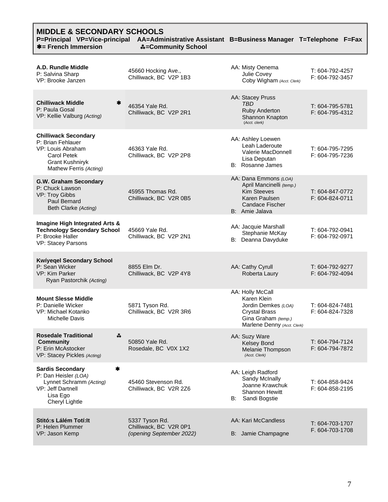## **MIDDLE & SECONDARY SCHOOLS**

| בניסט ווערוניו שטויט<br><b>*= French Immersion</b>                                                                                              | P=Principal VP=Vice-principal AA=Administrative Assistant B=Business Manager T=Telephone F=Fax<br>森=Community School |                                                                                                                                      |                                    |
|-------------------------------------------------------------------------------------------------------------------------------------------------|----------------------------------------------------------------------------------------------------------------------|--------------------------------------------------------------------------------------------------------------------------------------|------------------------------------|
| A.D. Rundle Middle<br>P: Salvina Sharp<br>VP: Brooke Janzen                                                                                     | 45660 Hocking Ave.,<br>Chilliwack, BC V2P 1B3                                                                        | AA: Misty Oenema<br>Julie Covey<br>Coby Wigham (Acct. Clerk)                                                                         | T: 604-792-4257<br>F: 604-792-3457 |
| <b>Chilliwack Middle</b><br>∗<br>P: Paula Gosal<br>VP: Kellie Valburg (Acting)                                                                  | 46354 Yale Rd.<br>Chilliwack, BC V2P 2R1                                                                             | AA: Stacey Pruss<br>TBD<br>Ruby Anderton<br>Shannon Knapton<br>(Acct. clerk)                                                         | T: 604-795-5781<br>F: 604-795-4312 |
| <b>Chilliwack Secondary</b><br>P: Brian Fehlauer<br>VP: Louis Abraham<br><b>Carol Petek</b><br><b>Grant Kushniryk</b><br>Mathew Ferris (Acting) | 46363 Yale Rd.<br>Chilliwack, BC V2P 2P8                                                                             | AA: Ashley Loewen<br>Leah Laderoute<br>Valerie MacDonnell<br>Lisa Deputan<br>B: Rosanne James                                        | T: 604-795-7295<br>F: 604-795-7236 |
| G.W. Graham Secondary<br>P: Chuck Lawson<br>VP: Troy Gibbs<br>Paul Bernard<br>Beth Clarke (Acting)                                              | 45955 Thomas Rd.<br>Chilliwack, BC V2R 0B5                                                                           | AA: Dana Emmons (LOA)<br>April Mancinelli (temp.)<br><b>Kim Steeves</b><br>Karen Paulsen<br><b>Candace Fischer</b><br>B: Amie Jalava | T: 604-847-0772<br>F: 604-824-0711 |
| Imagine High Integrated Arts &<br><b>Technology Secondary School</b><br>P: Brooke Haller<br>VP: Stacey Parsons                                  | 45669 Yale Rd.<br>Chilliwack, BC V2P 2N1                                                                             | AA: Jacquie Marshall<br>Stephanie McKay<br>B: Deanna Davyduke                                                                        | T: 604-792-0941<br>F: 604-792-0971 |
| <b>Kwiyeqel Secondary School</b><br>P: Sean Wicker<br>VP: Kim Parker<br>Ryan Pastorchik (Acting)                                                | 8855 Elm Dr.<br>Chilliwack, BC V2P 4Y8                                                                               | AA: Cathy Cyrull<br>Roberta Laury                                                                                                    | T: 604-792-9277<br>F: 604-792-4094 |
| <b>Mount Slesse Middle</b><br>P: Danielle Wicker<br>VP: Michael Kotanko<br><b>Michelle Davis</b>                                                | 5871 Tyson Rd.<br>Chilliwack, BC V2R 3R6                                                                             | AA: Holly McCall<br>Karen Klein<br>Jordin Demkes (LOA)<br><b>Crystal Brass</b><br>Gina Graham (temp.)<br>Marlene Denny (Acct. Clerk) | T: 604-824-7481<br>F: 604-824-7328 |
| <b>Rosedale Traditional</b><br>蟲<br><b>Community</b><br>P: Erin McAstocker<br>VP: Stacey Pickles (Acting)                                       | 50850 Yale Rd.<br>Rosedale, BC V0X 1X2                                                                               | AA: Suzy Ware<br><b>Kelsey Bond</b><br>Melanie Thompson<br>(Acct. Clerk)                                                             | T: 604-794-7124<br>F: 604-794-7872 |
| <b>Sardis Secondary</b><br>*<br>P: Dan Heisler (LOA)<br>Lynnet Schramm (Acting)<br><b>VP: Jeff Dartnell</b><br>Lisa Ego<br>Cheryl Lightle       | 45460 Stevenson Rd.<br>Chilliwack, BC V2R 2Z6                                                                        | AA: Leigh Radford<br>Sandy McInally<br>Joanne Krawchuk<br><b>Shannon Hewitt</b><br>B: Sandi Bogstie                                  | T: 604-858-9424<br>F: 604-858-2195 |
| Stitó: Lálém Totí: It<br>P: Helen Plummer<br>VP: Jason Kemp                                                                                     | 5337 Tyson Rd.<br>Chilliwack, BC V2R 0P1<br>(opening September 2022)                                                 | AA: Kari McCandless<br>B: Jamie Champagne                                                                                            | T: 604-703-1707<br>F. 604-703-1708 |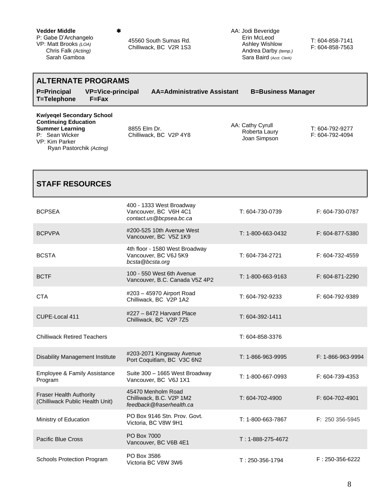#### **Vedder Middle**

P: Gabe D'Archangelo VP: Matt Brooks *(LOA)* Chris Falk *(Acting)* Sarah Gamboa

45560 South Sumas Rd. Chilliwack, BC V2R 1S3 AA: Jodi Beveridge Erin McLeod Ashley Wishlow Andrea Darby *(temp.)* Sara Baird (A*cct. Clerk)*

T: 604-858-7141 F: 604-858-7563

#### **ALTERNATE PROGRAMS P=Principal VP=Vice-principal AA=Administrative Assistant B=Business Manager T=Telephone F=Fax Kwíyeqel Secondary School Continuing Education Summer Learning** P: Sean Wicker VP: Kim Parker Ryan Pastorchik *(Acting)* 8855 Elm Dr. Chilliwack, BC V2P 4Y8 AA: Cathy Cyrull Roberta Laury Joan Simpson T: 604-792-9277 F: 604-792-4094

| <b>STAFF RESOURCES</b>                                            |                                                                              |                           |                       |
|-------------------------------------------------------------------|------------------------------------------------------------------------------|---------------------------|-----------------------|
| <b>BCPSEA</b>                                                     | 400 - 1333 West Broadway<br>Vancouver, BC V6H 4C1<br>contact.us@bcpsea.bc.ca | T: 604-730-0739           | F: 604-730-0787       |
| <b>BCPVPA</b>                                                     | #200-525 10th Avenue West<br>Vancouver, BC V5Z 1K9                           | T: 1-800-663-0432         | F: 604-877-5380       |
| <b>BCSTA</b>                                                      | 4th floor - 1580 West Broadway<br>Vancouver, BC V6J 5K9<br>bcsta@bcsta.org   | T: 604-734-2721           | F: 604-732-4559       |
| <b>BCTF</b>                                                       | 100 - 550 West 6th Avenue<br>Vancouver, B.C. Canada V5Z 4P2                  | $T: 1 - 800 - 663 - 9163$ | F: 604-871-2290       |
| <b>CTA</b>                                                        | #203 - 45970 Airport Road<br>Chilliwack, BC V2P 1A2                          | T: 604-792-9233           | F: 604-792-9389       |
| CUPE-Local 411                                                    | #227 - 8472 Harvard Place<br>Chilliwack, BC V2P 7Z5                          | T: 604-392-1411           |                       |
| <b>Chilliwack Retired Teachers</b>                                |                                                                              | T: 604-858-3376           |                       |
| <b>Disability Management Institute</b>                            | #203-2071 Kingsway Avenue<br>Port Coquitlam, BC V3C 6N2                      | T: 1-866-963-9995         | F: 1-866-963-9994     |
| Employee & Family Assistance<br>Program                           | Suite 300 - 1665 West Broadway<br>Vancouver, BC V6J 1X1                      | T: 1-800-667-0993         | F: 604-739-4353       |
| <b>Fraser Health Authority</b><br>(Chilliwack Public Health Unit) | 45470 Menholm Road<br>Chilliwack, B.C. V2P 1M2<br>feedback@fraserhealth.ca   | T: 604-702-4900           | F: 604-702-4901       |
| Ministry of Education                                             | PO Box 9146 Stn. Prov. Govt.<br>Victoria, BC V8W 9H1                         | T: 1-800-663-7867         | F: 250 356-5945       |
| Pacific Blue Cross                                                | PO Box 7000<br>Vancouver, BC V6B 4E1                                         | $T: 1 - 888 - 275 - 4672$ |                       |
| Schools Protection Program                                        | PO Box 3586<br>Victoria BC V8W 3W6                                           | $T: 250 - 356 - 1794$     | $F: 250 - 356 - 6222$ |